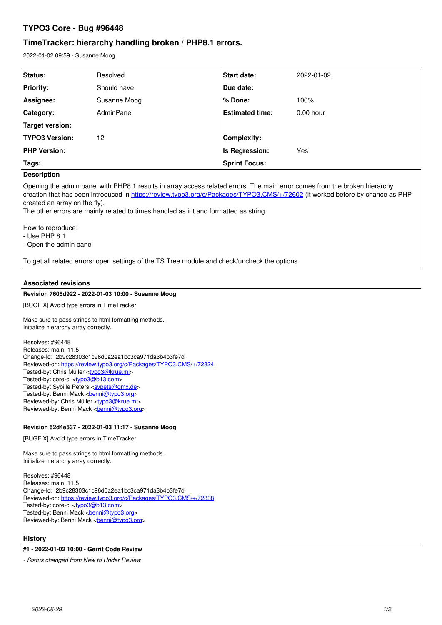# **TYPO3 Core - Bug #96448**

# **TimeTracker: hierarchy handling broken / PHP8.1 errors.**

2022-01-02 09:59 - Susanne Moog

| Status:               | Resolved     | <b>Start date:</b>     | 2022-01-02  |
|-----------------------|--------------|------------------------|-------------|
| <b>Priority:</b>      | Should have  | Due date:              |             |
| Assignee:             | Susanne Moog | ∣% Done:               | 100%        |
| Category:             | AdminPanel   | <b>Estimated time:</b> | $0.00$ hour |
| Target version:       |              |                        |             |
| <b>TYPO3 Version:</b> | 12           | <b>Complexity:</b>     |             |
| <b>PHP Version:</b>   |              | <b>Is Regression:</b>  | Yes         |
| Tags:                 |              | <b>Sprint Focus:</b>   |             |

## **Description**

Opening the admin panel with PHP8.1 results in array access related errors. The main error comes from the broken hierarchy creation that has been introduced in <https://review.typo3.org/c/Packages/TYPO3.CMS/+/72602>(it worked before by chance as PHP created an array on the fly).

The other errors are mainly related to times handled as int and formatted as string.

How to reproduce:

- Use PHP 8.1

- Open the admin panel

To get all related errors: open settings of the TS Tree module and check/uncheck the options

# **Associated revisions**

## **Revision 7605d922 - 2022-01-03 10:00 - Susanne Moog**

[BUGFIX] Avoid type errors in TimeTracker

Make sure to pass strings to html formatting methods. Initialize hierarchy array correctly.

Resolves: #96448 Releases: main, 11.5 Change-Id: I2b9c28303c1c96d0a2ea1bc3ca971da3b4b3fe7d Reviewed-on:<https://review.typo3.org/c/Packages/TYPO3.CMS/+/72824> Tested-by: Chris Müller <[typo3@krue.ml>](mailto:typo3@krue.ml) Tested-by: core-ci [<typo3@b13.com](mailto:typo3@b13.com)> Tested-by: Sybille Peters <[sypets@gmx.de](mailto:sypets@gmx.de)> Tested-by: Benni Mack <br /> **[benni@typo3.org>](mailto:benni@typo3.org)** Reviewed-by: Chris Müller [<typo3@krue.ml](mailto:typo3@krue.ml)> Reviewed-by: Benni Mack <br/> <br/>poni@typo3.org>

# **Revision 52d4e537 - 2022-01-03 11:17 - Susanne Moog**

[BUGFIX] Avoid type errors in TimeTracker

Make sure to pass strings to html formatting methods. Initialize hierarchy array correctly.

Resolves: #96448 Releases: main, 11.5 Change-Id: I2b9c28303c1c96d0a2ea1bc3ca971da3b4b3fe7d Reviewed-on:<https://review.typo3.org/c/Packages/TYPO3.CMS/+/72838> Tested-by: core-ci [<typo3@b13.com](mailto:typo3@b13.com)> Tested-by: Benni Mack <[benni@typo3.org>](mailto:benni@typo3.org) Reviewed-by: Benni Mack <br /> **black <br />
Reviewed-by: Benni Mack <br />
Kenni@typo3.org>** 

## **History**

## **#1 - 2022-01-02 10:00 - Gerrit Code Review**

*- Status changed from New to Under Review*